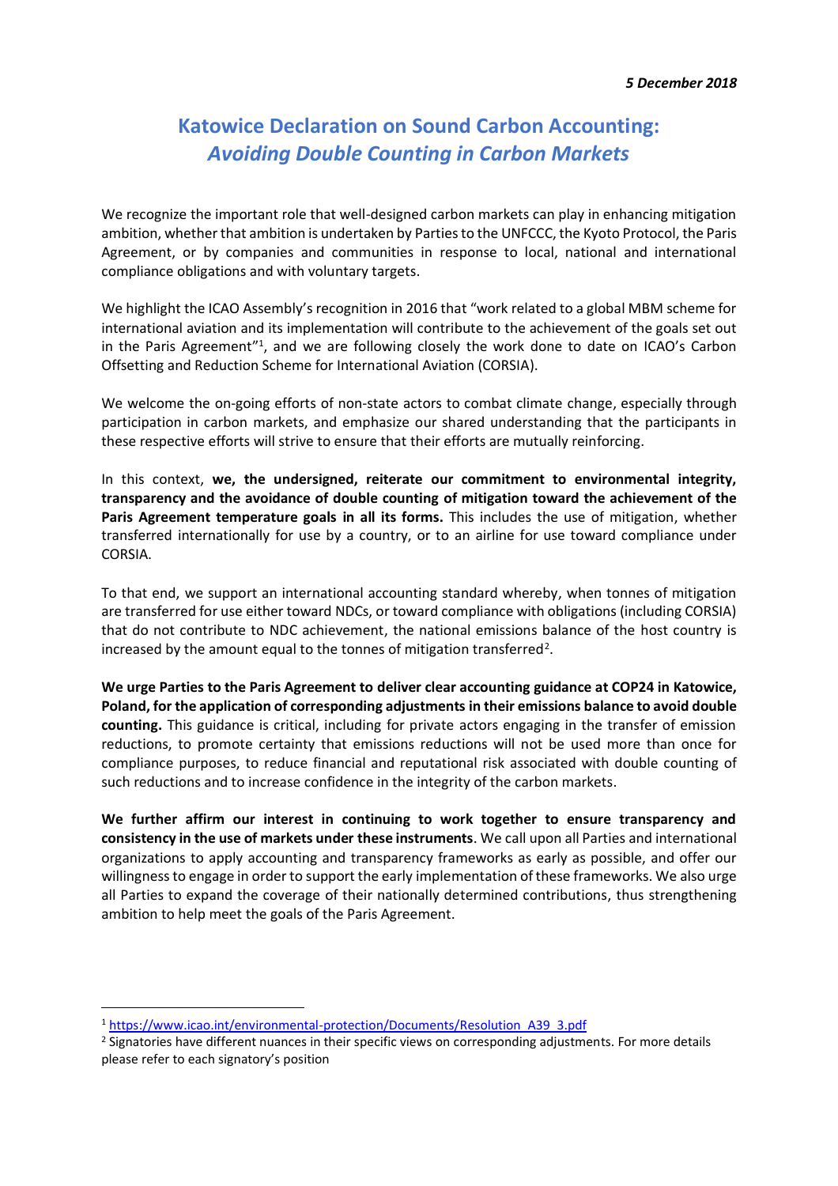## **Katowice Declaration on Sound Carbon Accounting:** *Avoiding Double Counting in Carbon Markets*

We recognize the important role that well-designed carbon markets can play in enhancing mitigation ambition, whether that ambition is undertaken by Parties to the UNFCCC, the Kyoto Protocol, the Paris Agreement, or by companies and communities in response to local, national and international compliance obligations and with voluntary targets.

We highlight the ICAO Assembly's recognition in 2016 that "work related to a global MBM scheme for international aviation and its implementation will contribute to the achievement of the goals set out in the Paris Agreement"<sup>1</sup>, and we are following closely the work done to date on ICAO's Carbon Offsetting and Reduction Scheme for International Aviation (CORSIA).

We welcome the on-going efforts of non-state actors to combat climate change, especially through participation in carbon markets, and emphasize our shared understanding that the participants in these respective efforts will strive to ensure that their efforts are mutually reinforcing.

In this context, **we, the undersigned, reiterate our commitment to environmental integrity, transparency and the avoidance of double counting of mitigation toward the achievement of the Paris Agreement temperature goals in all its forms.** This includes the use of mitigation, whether transferred internationally for use by a country, or to an airline for use toward compliance under CORSIA.

To that end, we support an international accounting standard whereby, when tonnes of mitigation are transferred for use either toward NDCs, or toward compliance with obligations (including CORSIA) that do not contribute to NDC achievement, the national emissions balance of the host country is increased by the amount equal to the tonnes of mitigation transferred<sup>2</sup>.

**We urge Parties to the Paris Agreement to deliver clear accounting guidance at COP24 in Katowice, Poland, for the application of corresponding adjustments in their emissions balance to avoid double counting.** This guidance is critical, including for private actors engaging in the transfer of emission reductions, to promote certainty that emissions reductions will not be used more than once for compliance purposes, to reduce financial and reputational risk associated with double counting of such reductions and to increase confidence in the integrity of the carbon markets.

**We further affirm our interest in continuing to work together to ensure transparency and consistency in the use of markets under these instruments**. We call upon all Parties and international organizations to apply accounting and transparency frameworks as early as possible, and offer our willingnessto engage in order to support the early implementation of these frameworks. We also urge all Parties to expand the coverage of their nationally determined contributions, thus strengthening ambition to help meet the goals of the Paris Agreement.

 $\overline{a}$ 

<sup>1</sup> [https://www.icao.int/environmental-protection/Documents/Resolution\\_A39\\_3.pdf](https://www.icao.int/environmental-protection/Documents/Resolution_A39_3.pdf)

<sup>&</sup>lt;sup>2</sup> Signatories have different nuances in their specific views on corresponding adjustments. For more details please refer to each signatory's position